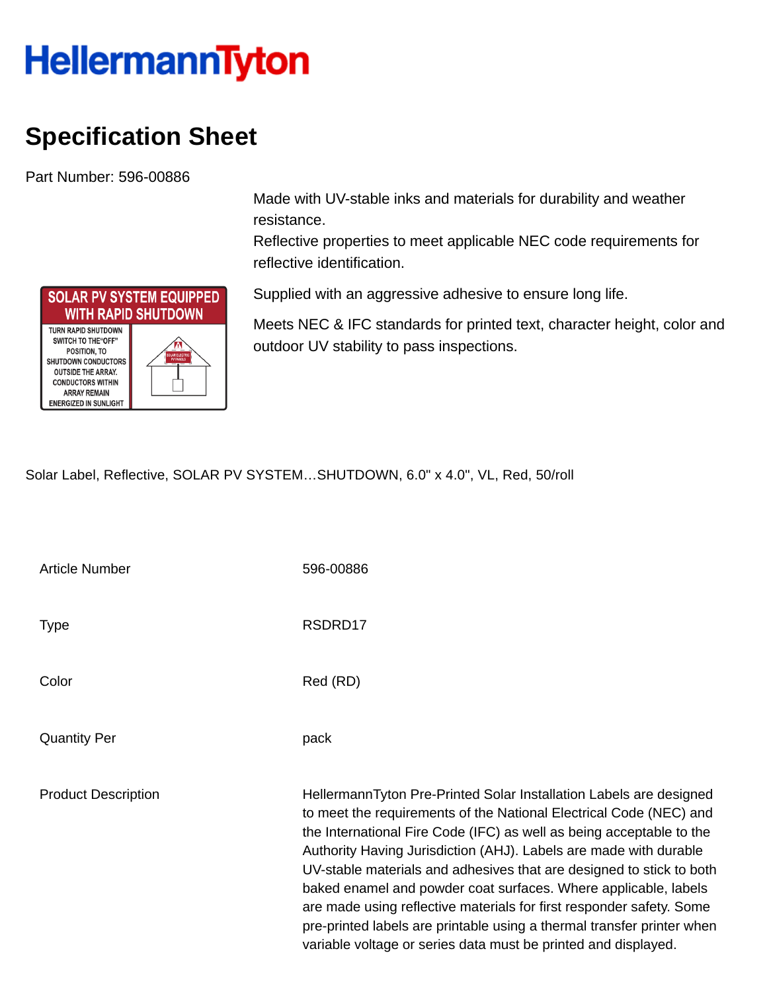## **HellermannTyton**

## **Specification Sheet**

Part Number: 596-00886

**SOLAR PV SYSTEM EQUIPPED WITH RAPID SHUTDOWN TURN RAPID SHUTDOWN** SWITCH TO THE "OFF" POSITION, TO **SHUTDOWN CONDUCTORS OUTSIDE THE ARRAY. CONDUCTORS WITHIN ARRAY REMAIN ENERGIZED IN SUNLIGHT** 

Made with UV-stable inks and materials for durability and weather resistance.

Reflective properties to meet applicable NEC code requirements for reflective identification.

Supplied with an aggressive adhesive to ensure long life.

Meets NEC & IFC standards for printed text, character height, color and outdoor UV stability to pass inspections.

Solar Label, Reflective, SOLAR PV SYSTEM…SHUTDOWN, 6.0" x 4.0", VL, Red, 50/roll

| <b>Article Number</b>      | 596-00886                                                                                                                                                                                                                                                                                                                                                                                                                                                                                                                                                                                                                                            |
|----------------------------|------------------------------------------------------------------------------------------------------------------------------------------------------------------------------------------------------------------------------------------------------------------------------------------------------------------------------------------------------------------------------------------------------------------------------------------------------------------------------------------------------------------------------------------------------------------------------------------------------------------------------------------------------|
| <b>Type</b>                | RSDRD17                                                                                                                                                                                                                                                                                                                                                                                                                                                                                                                                                                                                                                              |
| Color                      | Red (RD)                                                                                                                                                                                                                                                                                                                                                                                                                                                                                                                                                                                                                                             |
| <b>Quantity Per</b>        | pack                                                                                                                                                                                                                                                                                                                                                                                                                                                                                                                                                                                                                                                 |
| <b>Product Description</b> | HellermannTyton Pre-Printed Solar Installation Labels are designed<br>to meet the requirements of the National Electrical Code (NEC) and<br>the International Fire Code (IFC) as well as being acceptable to the<br>Authority Having Jurisdiction (AHJ). Labels are made with durable<br>UV-stable materials and adhesives that are designed to stick to both<br>baked enamel and powder coat surfaces. Where applicable, labels<br>are made using reflective materials for first responder safety. Some<br>pre-printed labels are printable using a thermal transfer printer when<br>variable voltage or series data must be printed and displayed. |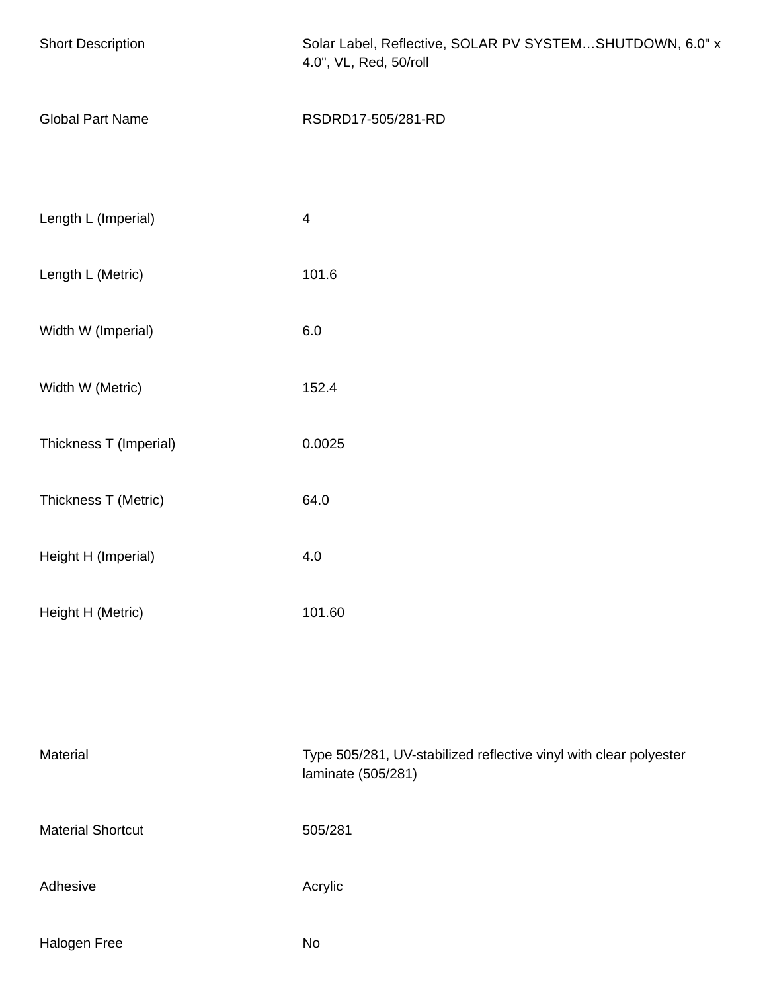| <b>Short Description</b> | Solar Label, Reflective, SOLAR PV SYSTEMSHUTDOWN, 6.0" x<br>4.0", VL, Red, 50/roll      |  |
|--------------------------|-----------------------------------------------------------------------------------------|--|
| <b>Global Part Name</b>  | RSDRD17-505/281-RD                                                                      |  |
| Length L (Imperial)      | $\overline{4}$                                                                          |  |
| Length L (Metric)        | 101.6                                                                                   |  |
| Width W (Imperial)       | 6.0                                                                                     |  |
| Width W (Metric)         | 152.4                                                                                   |  |
| Thickness T (Imperial)   | 0.0025                                                                                  |  |
| Thickness T (Metric)     | 64.0                                                                                    |  |
| Height H (Imperial)      | 4.0                                                                                     |  |
| Height H (Metric)        | 101.60                                                                                  |  |
|                          |                                                                                         |  |
| Material                 | Type 505/281, UV-stabilized reflective vinyl with clear polyester<br>laminate (505/281) |  |
| <b>Material Shortcut</b> | 505/281                                                                                 |  |
| Adhesive                 | Acrylic                                                                                 |  |
| Halogen Free             | No                                                                                      |  |